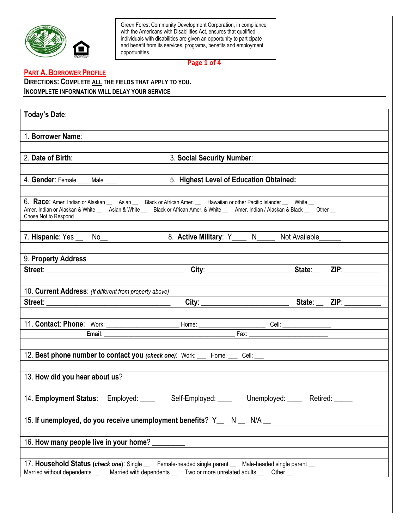

**Page 1 of 4**

### **PART A. BORROWER PROFILE**

**DIRECTIONS: COMPLETE ALL THE FIELDS THAT APPLY TO YOU. INCOMPLETE INFORMATION WILL DELAY YOUR SERVICE**

| Today's Date:                                           |                                                                                                                                                                                                                                                                                               |                                  |
|---------------------------------------------------------|-----------------------------------------------------------------------------------------------------------------------------------------------------------------------------------------------------------------------------------------------------------------------------------------------|----------------------------------|
| 1. Borrower Name:                                       |                                                                                                                                                                                                                                                                                               |                                  |
| 2. Date of Birth:                                       | 3. Social Security Number:                                                                                                                                                                                                                                                                    |                                  |
| 4. Gender: Female ____ Male ____                        | 5. Highest Level of Education Obtained:                                                                                                                                                                                                                                                       |                                  |
|                                                         | 6. Race: Amer. Indian or Alaskan __ Asian __ Black or African Amer. __ Hawaiian or other Pacific Islander __ White __<br>Amer. Indian or Alaskan & White __ Asian & White __ Black or African Amer. & White __ Amer. Indian / Alaskan & Black __ Other __                                     |                                  |
| 7. Hispanic: Yes _ No_                                  | 8. Active Military: Y____ N____ Not Available_____                                                                                                                                                                                                                                            |                                  |
| 9. Property Address                                     |                                                                                                                                                                                                                                                                                               |                                  |
|                                                         |                                                                                                                                                                                                                                                                                               |                                  |
| 10. Current Address: (If different from property above) |                                                                                                                                                                                                                                                                                               |                                  |
|                                                         |                                                                                                                                                                                                                                                                                               |                                  |
|                                                         |                                                                                                                                                                                                                                                                                               |                                  |
|                                                         |                                                                                                                                                                                                                                                                                               |                                  |
|                                                         | 11. Contact: Phone: Work: Henri Home: Home: Cell: Cell: Cell: Cell: Cell: Cell: Cell: Cell: Cell: Cell: Cell: Cell: Cell: Cell: Cell: Cell: Cell: Cell: Cell: Cell: Cell: Cell: Cell: Cell: Cell: Cell: Cell: Cell: Cell: Cell                                                                |                                  |
|                                                         | 12. Best phone number to contact you (check one): Work: __ Home: __ Cell: __                                                                                                                                                                                                                  |                                  |
| 13. How did you hear about us?                          |                                                                                                                                                                                                                                                                                               |                                  |
| 14. Employment Status:                                  | Employed: ____<br>Self-Employed: ____                                                                                                                                                                                                                                                         | Unemployed: _____ Retired: _____ |
|                                                         | 15. If unemployed, do you receive unemployment benefits? Y_<br>N and the set of the set of the set of the set of the set of the set of the set of the set of the set of the set of the set of the set of the set of the set of the set of the set of the set of the set of the set of the set | N/A                              |
| 16. How many people live in your home?                  |                                                                                                                                                                                                                                                                                               |                                  |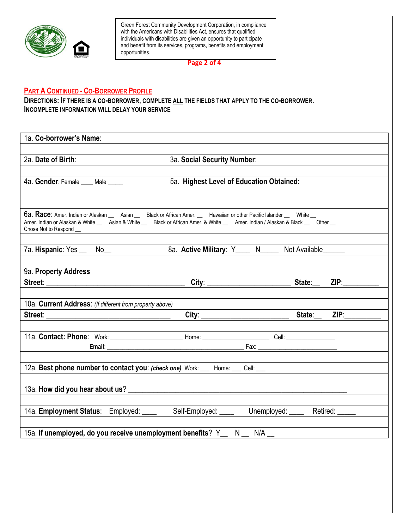

**Page 2 of 4**

## **PART A CONTINUED - CO-BORROWER PROFILE**

**DIRECTIONS: IF THERE IS A CO-BORROWER, COMPLETE ALL THE FIELDS THAT APPLY TO THE CO-BORROWER. INCOMPLETE INFORMATION WILL DELAY YOUR SERVICE** 

| 2a. Date of Birth:                                                                                                                                                                                                                                                                    | 3a. Social Security Number:                          |                                  |
|---------------------------------------------------------------------------------------------------------------------------------------------------------------------------------------------------------------------------------------------------------------------------------------|------------------------------------------------------|----------------------------------|
|                                                                                                                                                                                                                                                                                       |                                                      |                                  |
| 4a. Gender: Female ____ Male ____                                                                                                                                                                                                                                                     | 5a. Highest Level of Education Obtained:             |                                  |
| 6a. Race: Amer. Indian or Alaskan __ Asian __ Black or African Amer. __ Hawaiian or other Pacific Islander __ White __<br>Amer. Indian or Alaskan & White __ Asian & White __ Black or African Amer. & White __ Amer. Indian / Alaskan & Black __ Other __<br>Chose Not to Respond __ |                                                      |                                  |
|                                                                                                                                                                                                                                                                                       | 8a. Active Military: Y____ N_____ Not Available_____ |                                  |
| 9a. Property Address                                                                                                                                                                                                                                                                  |                                                      |                                  |
|                                                                                                                                                                                                                                                                                       |                                                      | ZIP                              |
| 10a. Current Address: (If different from property above)                                                                                                                                                                                                                              |                                                      |                                  |
|                                                                                                                                                                                                                                                                                       |                                                      |                                  |
|                                                                                                                                                                                                                                                                                       |                                                      |                                  |
|                                                                                                                                                                                                                                                                                       |                                                      |                                  |
| 12a. Best phone number to contact you: (check one) Work: __ Home: __ Cell: __ Cell: __                                                                                                                                                                                                |                                                      |                                  |
|                                                                                                                                                                                                                                                                                       |                                                      |                                  |
| 14a. Employment Status: Employed: ____                                                                                                                                                                                                                                                | Self-Employed: ____                                  | Unemployed: _____ Retired: _____ |
| 15a. If unemployed, do you receive unemployment benefits? Y_ N_ N/A_                                                                                                                                                                                                                  |                                                      |                                  |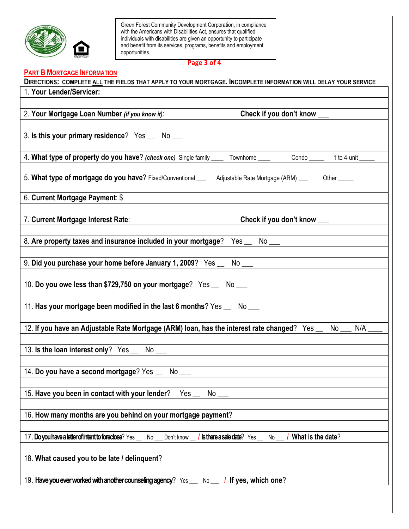

**Page 3 of 4**

# **PART B MORTGAGE INFORMATION**

| DIRECTIONS: COMPLETE ALL THE FIELDS THAT APPLY TO YOUR MORTGAGE. INCOMPLETE INFORMATION WILL DELAY YOUR SERVICE                                      |
|------------------------------------------------------------------------------------------------------------------------------------------------------|
| 1. Your Lender/Servicer:                                                                                                                             |
|                                                                                                                                                      |
| 2. Your Mortgage Loan Number (if you know it):<br>Check if you don't know ___                                                                        |
|                                                                                                                                                      |
| 3. Is this your primary residence? Yes _ No _                                                                                                        |
|                                                                                                                                                      |
| 4. What type of property do you have? (check one) Single family _____ Townhome ____ Condo ____ 1 to 4-unit ____                                      |
|                                                                                                                                                      |
| 5. What type of mortgage do you have? Fixed/Conventional __ Adjustable Rate Mortgage (ARM) __ Other ___                                              |
|                                                                                                                                                      |
| 6. Current Mortgage Payment: \$                                                                                                                      |
|                                                                                                                                                      |
| Check if you don't know ___<br>7. Current Mortgage Interest Rate:                                                                                    |
|                                                                                                                                                      |
| 8. Are property taxes and insurance included in your mortgage? Yes __ No ___                                                                         |
|                                                                                                                                                      |
|                                                                                                                                                      |
|                                                                                                                                                      |
| 10. Do you owe less than \$729,750 on your mortgage? Yes __ No __ _ ______________                                                                   |
|                                                                                                                                                      |
|                                                                                                                                                      |
|                                                                                                                                                      |
| 12. If you have an Adjustable Rate Mortgage (ARM) loan, has the interest rate changed? Yes _ No _<br>N/A                                             |
|                                                                                                                                                      |
|                                                                                                                                                      |
| 13. Is the loan interest only? Yes __ No __                                                                                                          |
|                                                                                                                                                      |
| 14. Do you have a second mortgage? Yes __ No __                                                                                                      |
|                                                                                                                                                      |
| 15. Have you been in contact with your lender?<br>Yes $_{-}$<br>No                                                                                   |
|                                                                                                                                                      |
| 16. How many months are you behind on your mortgage payment?                                                                                         |
|                                                                                                                                                      |
| 17. Do you have a letter of intent to foreclose? Yes<br><b>/ sthere a sale date?</b> $Yes$ No $\blacksquare$ / What is the date?<br>Don't know<br>No |
|                                                                                                                                                      |
| 18. What caused you to be late / delinquent?                                                                                                         |
|                                                                                                                                                      |
| 19. Have you ever worked with another counseling agency? Yes<br>I If yes, which one?<br>No                                                           |
|                                                                                                                                                      |